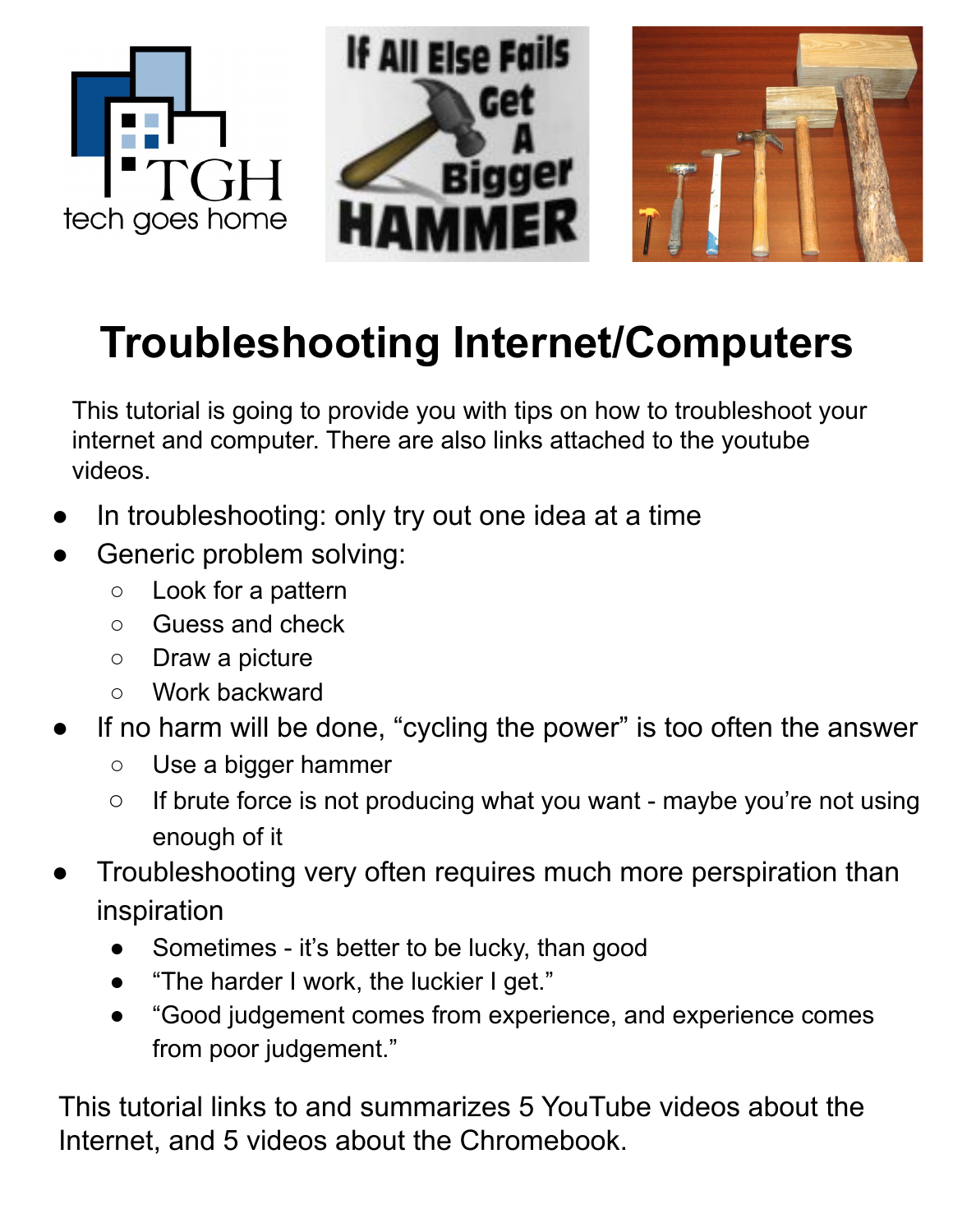

# **Troubleshooting Internet/Computers**

This tutorial is going to provide you with tips on how to troubleshoot your internet and computer. There are also links attached to the youtube videos.

- In troubleshooting: only try out one idea at a time
- Generic problem solving:
	- Look for a pattern
	- Guess and check
	- Draw a picture
	- Work backward
- If no harm will be done, "cycling the power" is too often the answer
	- Use a bigger hammer
	- If brute force is not producing what you want maybe you're not using enough of it
- Troubleshooting very often requires much more perspiration than inspiration
	- Sometimes it's better to be lucky, than good
	- "The harder I work, the luckier I get."
	- "Good judgement comes from experience, and experience comes from poor judgement."

This tutorial links to and summarizes 5 YouTube videos about the Internet, and 5 videos about the Chromebook.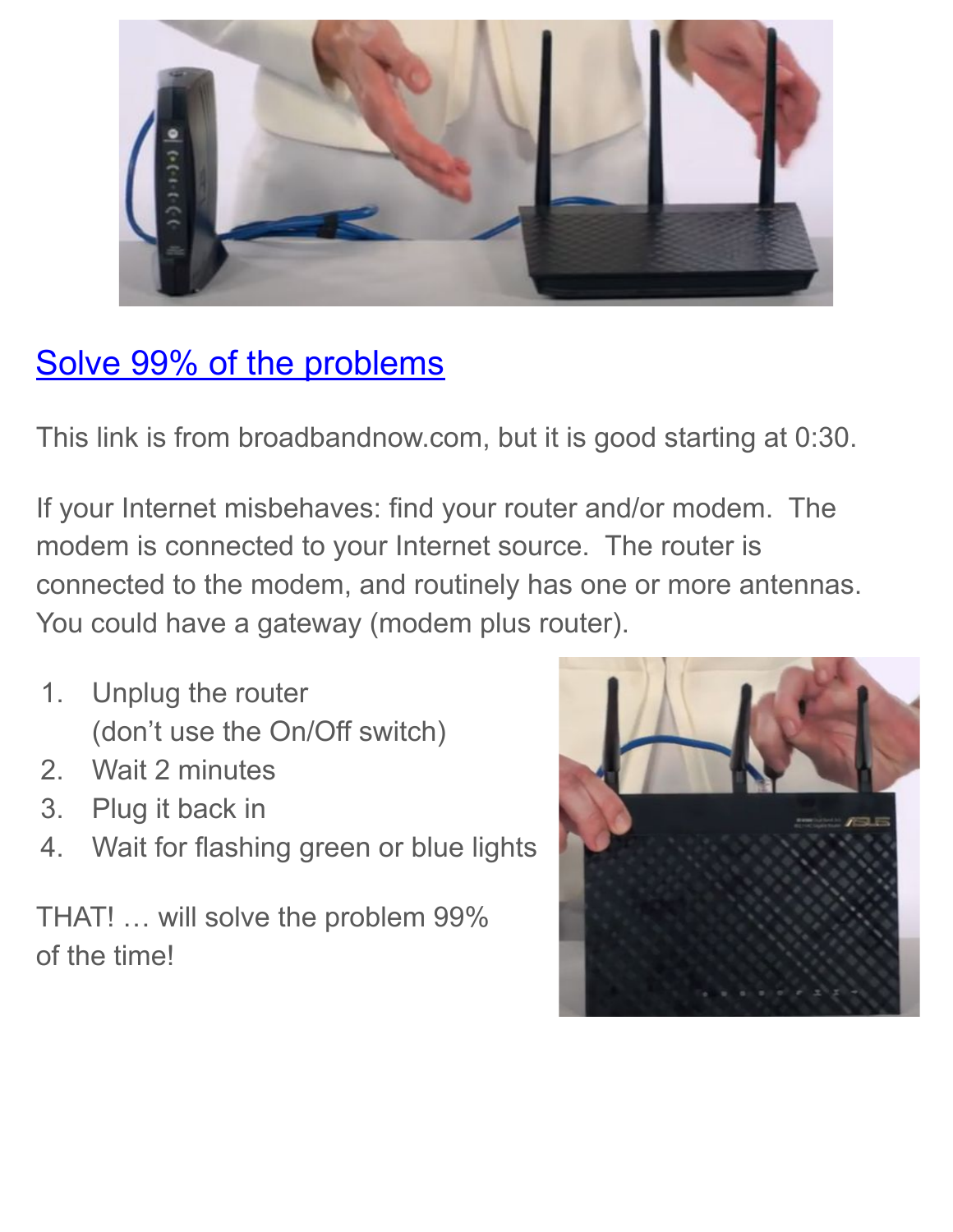

### [Solve 99% of the problems](https://www.youtube.com/watch?v=aR1-kXgDCdA)

This link is from broadbandnow.com, but it is good starting at 0:30.

If your Internet misbehaves: find your router and/or modem. The modem is connected to your Internet source. The router is connected to the modem, and routinely has one or more antennas. You could have a gateway (modem plus router).

- 1. Unplug the router (don't use the On/Off switch)
- 2. Wait 2 minutes
- 3. Plug it back in
- 4. Wait for flashing green or blue lights

THAT! … will solve the problem 99% of the time!

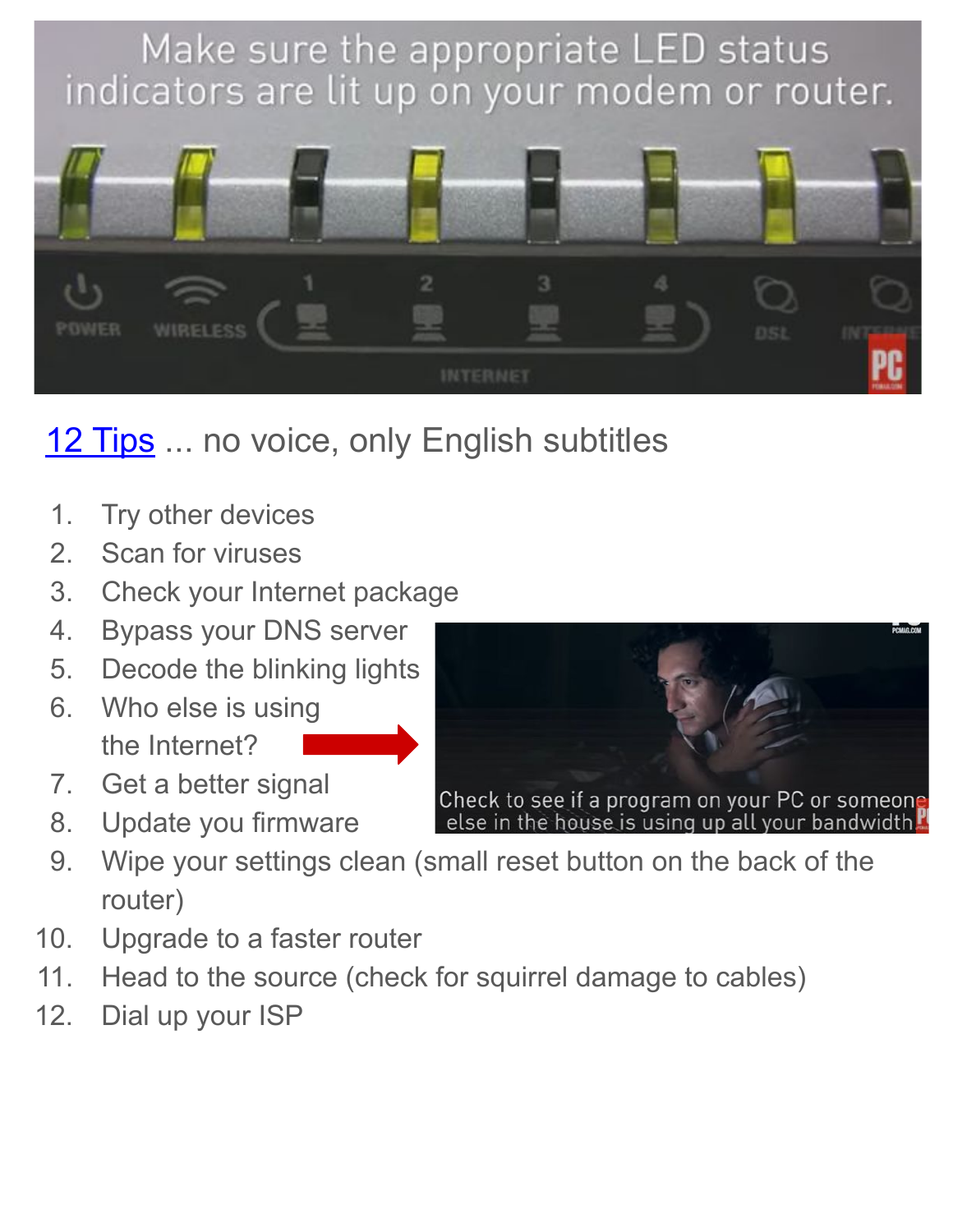

# [12 Tips](https://www.youtube.com/watch?v=CsA-4cTCHvI) ... no voice, only English subtitles

- 1. Try other devices
- 2. Scan for viruses
- 3. Check your Internet package
- 4. Bypass your DNS server
- 5. Decode the blinking lights
- 6. Who else is using the Internet?
- 7. Get a better signal
- 8. Update you firmware
- 9. Wipe your settings clean (small reset button on the back of the router)
- 10. Upgrade to a faster router
- 11. Head to the source (check for squirrel damage to cables)
- 12. Dial up your ISP

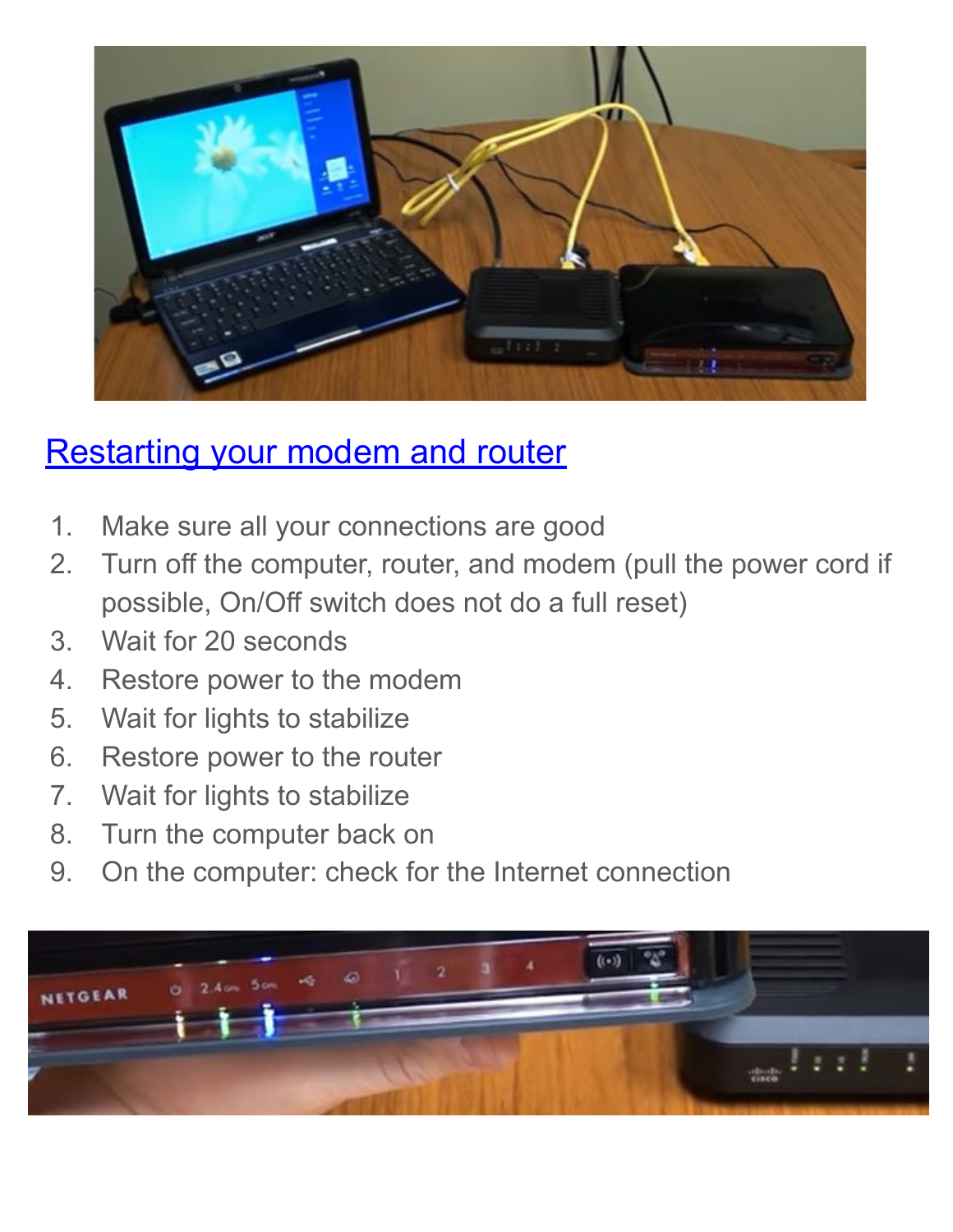

#### [Restarting your modem and router](https://www.youtube.com/watch?v=xBIFC1TYpdc)

- 1. Make sure all your connections are good
- 2. Turn off the computer, router, and modem (pull the power cord if possible, On/Off switch does not do a full reset)
- 3. Wait for 20 seconds
- 4. Restore power to the modem
- 5. Wait for lights to stabilize
- 6. Restore power to the router
- 7. Wait for lights to stabilize
- 8. Turn the computer back on
- 9. On the computer: check for the Internet connection

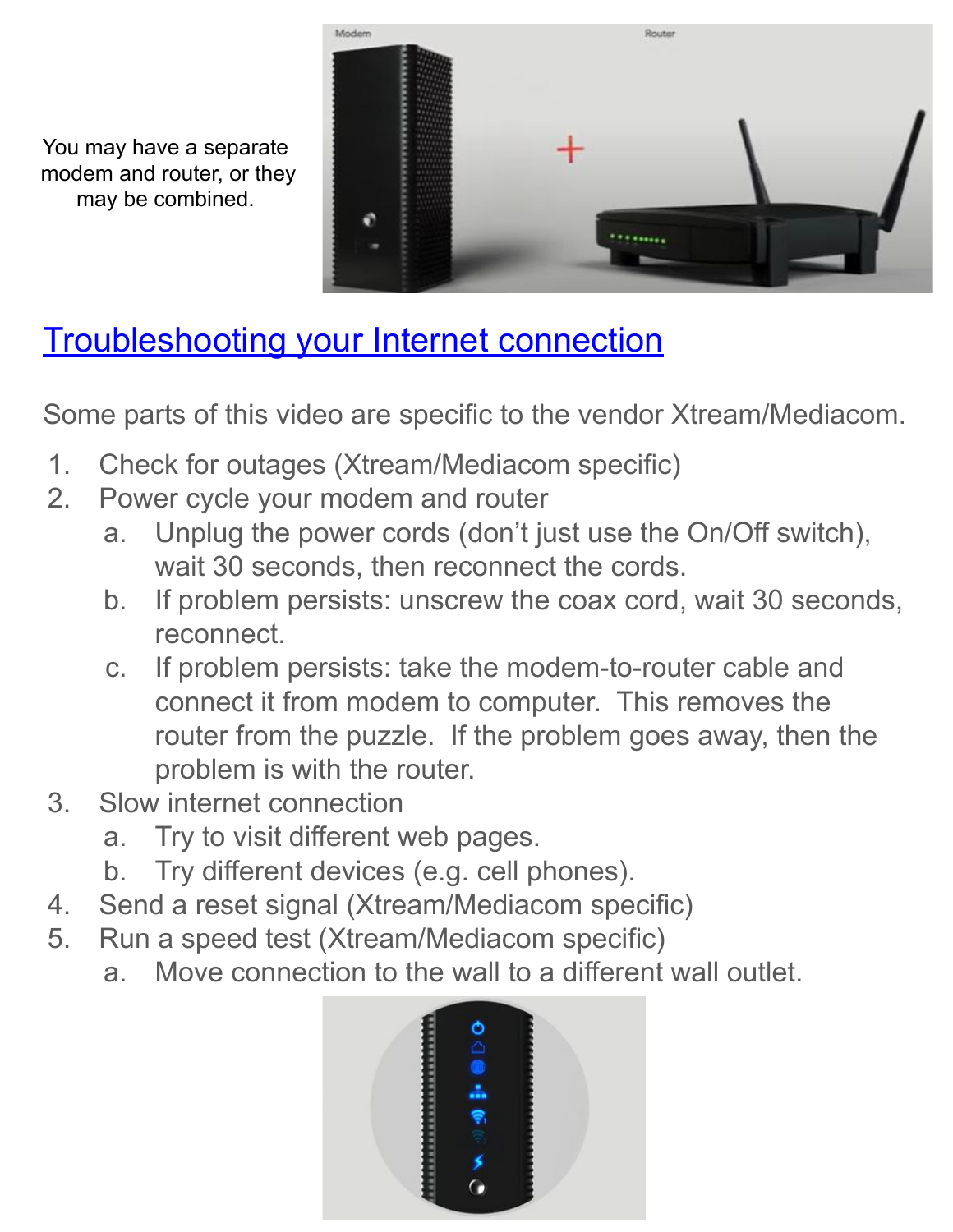You may have a separate modem and router, or they may be combined.



# [Troubleshooting your Internet connection](https://www.youtube.com/watch?v=kBhrUga39Qs)

Some parts of this video are specific to the vendor Xtream/Mediacom.

- 1. Check for outages (Xtream/Mediacom specific)
- 2. Power cycle your modem and router
	- a. Unplug the power cords (don't just use the On/Off switch), wait 30 seconds, then reconnect the cords.
	- b. If problem persists: unscrew the coax cord, wait 30 seconds, reconnect.
	- c. If problem persists: take the modem-to-router cable and connect it from modem to computer. This removes the router from the puzzle. If the problem goes away, then the problem is with the router.
- 3. Slow internet connection
	- a. Try to visit different web pages.
	- b. Try different devices (e.g. cell phones).
- 4. Send a reset signal (Xtream/Mediacom specific)
- 5. Run a speed test (Xtream/Mediacom specific)
	- a. Move connection to the wall to a different wall outlet.

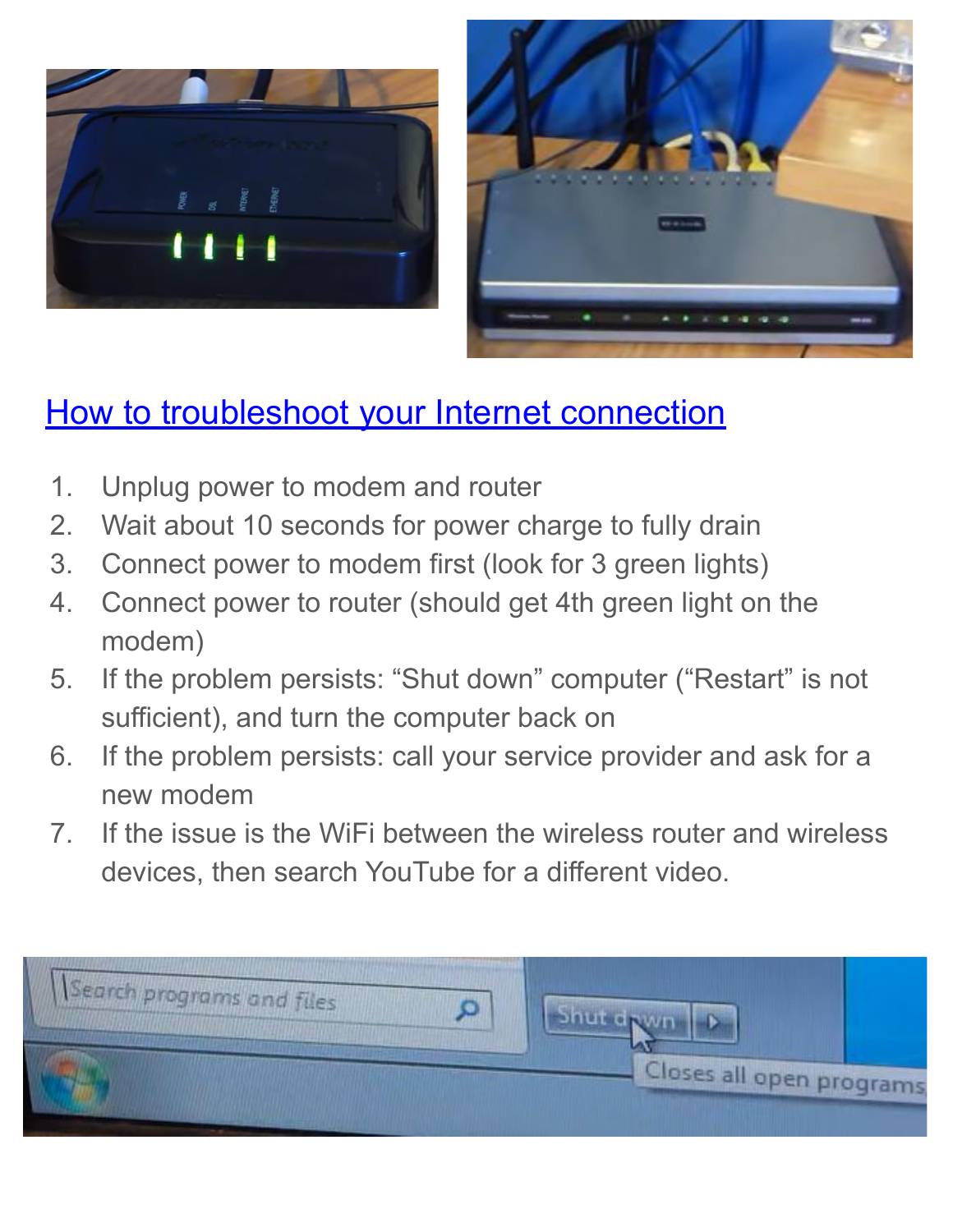



#### [How to troubleshoot your Internet connection](https://www.youtube.com/watch?v=2zuR-MIqKMY)

- 1. Unplug power to modem and router
- 2. Wait about 10 seconds for power charge to fully drain
- 3. Connect power to modem first (look for 3 green lights)
- 4. Connect power to router (should get 4th green light on the modem)
- 5. If the problem persists: "Shut down" computer ("Restart" is not sufficient), and turn the computer back on
- 6. If the problem persists: call your service provider and ask for a new modem
- 7. If the issue is the WiFi between the wireless router and wireless devices, then search YouTube for a different video.

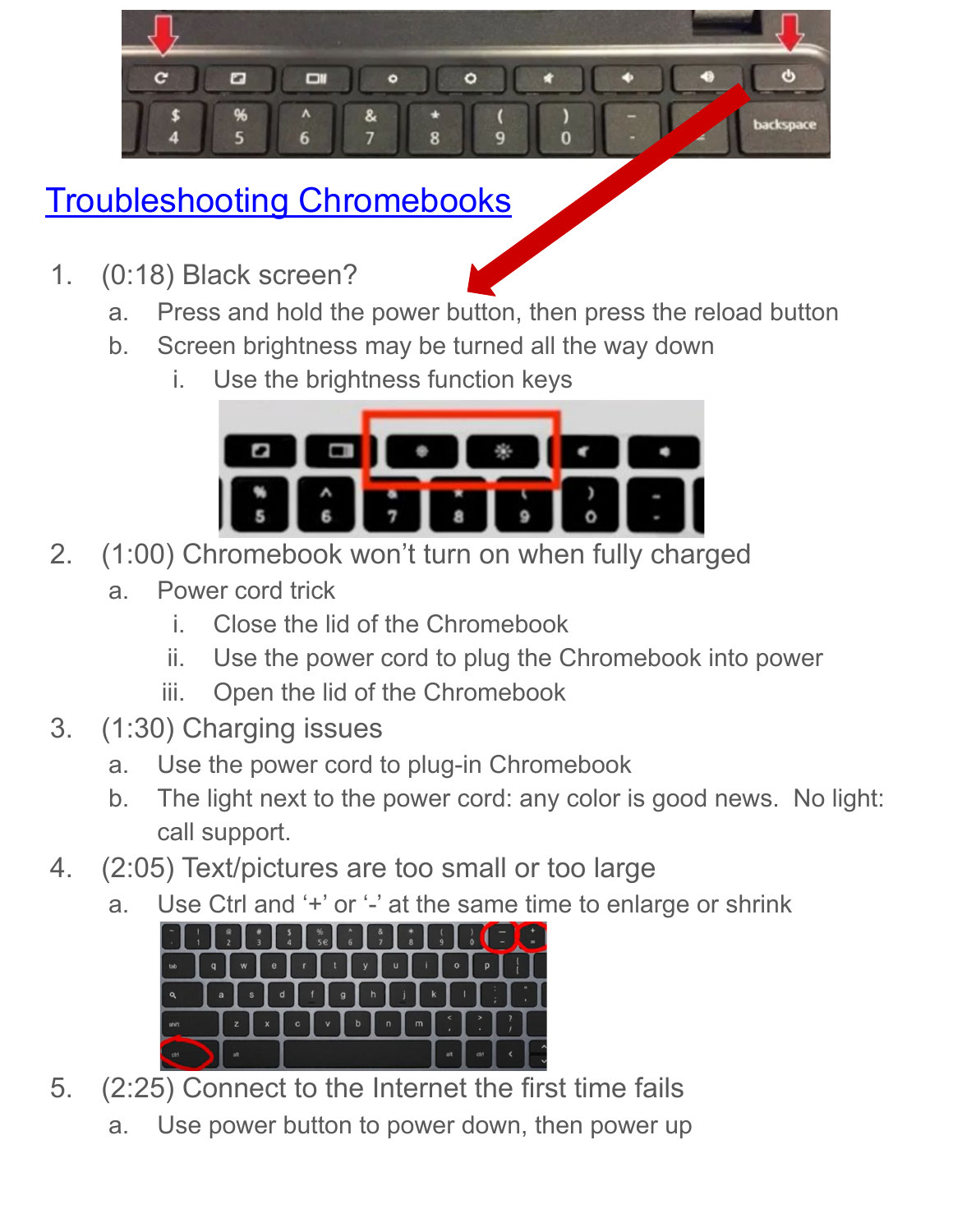

# [Troubleshooting Chromebooks](https://www.youtube.com/watch?v=mMmokVSN6fA)

1. (0:18) Black screen?



- b. Screen brightness may be turned all the way down
	- i. Use the brightness function keys



- 2. (1:00) Chromebook won't turn on when fully charged
	- a. Power cord trick
		- i. Close the lid of the Chromebook
		- ii. Use the power cord to plug the Chromebook into power
		- iii. Open the lid of the Chromebook
- 3. (1:30) Charging issues
	- a. Use the power cord to plug-in Chromebook
	- b. The light next to the power cord: any color is good news. No light: call support.
- 4. (2:05) Text/pictures are too small or too large
	- a. Use Ctrl and '+' or '-' at the same time to enlarge or shrink



- 5. (2:25) Connect to the Internet the first time fails
	- a. Use power button to power down, then power up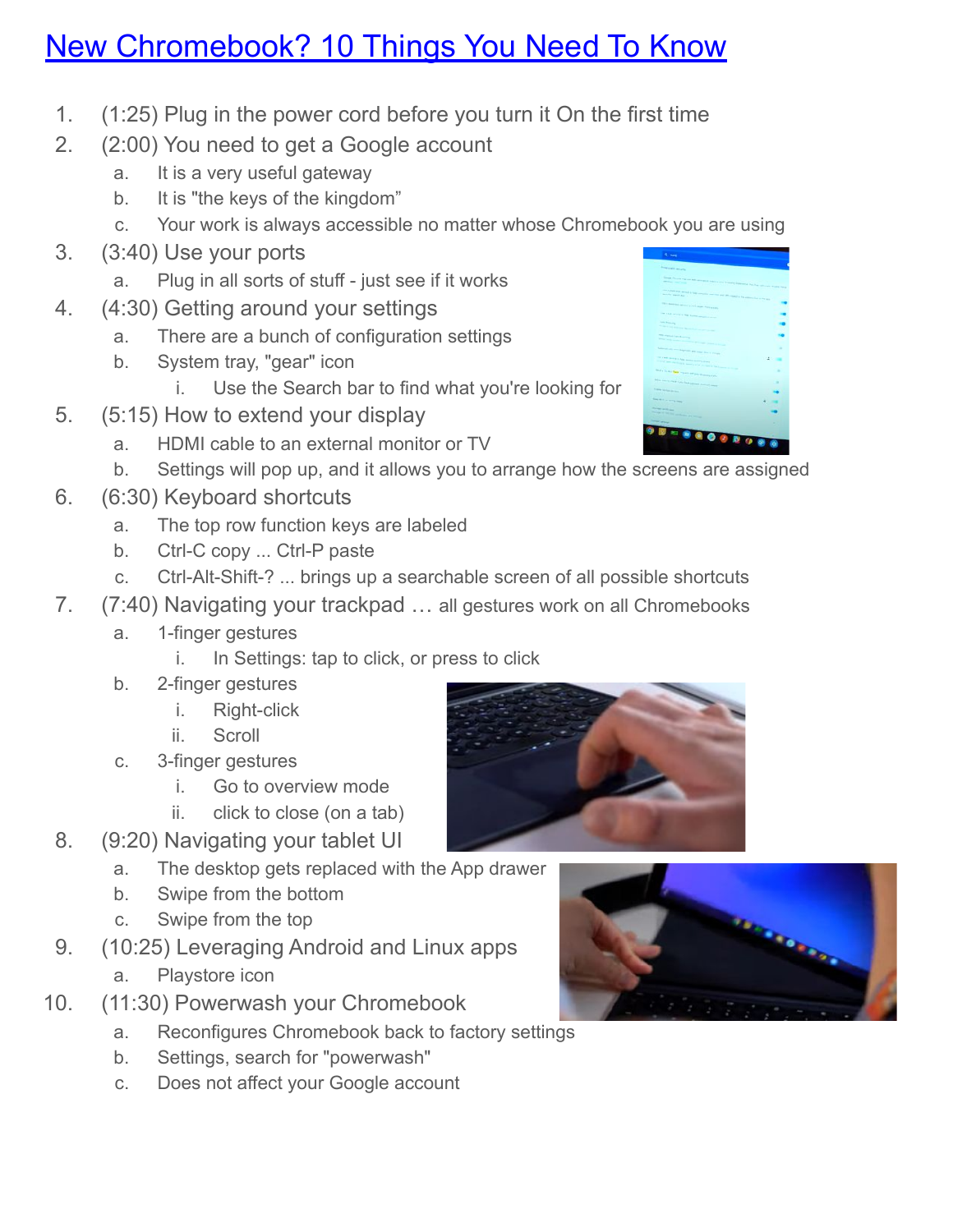#### [New Chromebook? 10 Things You Need To Know](https://www.youtube.com/watch?v=yTGs-CekbhY)

- 1. (1:25) Plug in the power cord before you turn it On the first time
- 2. (2:00) You need to get a Google account
	- a. It is a very useful gateway
	- b. It is "the keys of the kingdom"
	- c. Your work is always accessible no matter whose Chromebook you are using
- 3. (3:40) Use your ports
	- a. Plug in all sorts of stuff just see if it works
- 4. (4:30) Getting around your settings
	- a. There are a bunch of configuration settings
	- b. System tray, "gear" icon
		- i. Use the Search bar to find what you're looking for
- 5. (5:15) How to extend your display
	- a. HDMI cable to an external monitor or TV
	- b. Settings will pop up, and it allows you to arrange how the screens are assigned
- 6. (6:30) Keyboard shortcuts
	- a. The top row function keys are labeled
	- b. Ctrl-C copy ... Ctrl-P paste
	- c. Ctrl-Alt-Shift-? ... brings up a searchable screen of all possible shortcuts
- 7. (7:40) Navigating your trackpad … all gestures work on all Chromebooks
	- a. 1-finger gestures
		- i. In Settings: tap to click, or press to click
	- b. 2-finger gestures
		- i. Right-click
		- ii. Scroll
	- c. 3-finger gestures
		- i. Go to overview mode
		- ii. click to close (on a tab)
- 8. (9:20) Navigating your tablet UI
	- a. The desktop gets replaced with the App drawer
	- b. Swipe from the bottom
	- c. Swipe from the top
- 9. (10:25) Leveraging Android and Linux apps a. Playstore icon
- 10. (11:30) Powerwash your Chromebook
	- a. Reconfigures Chromebook back to factory settings
	- b. Settings, search for "powerwash"
	- c. Does not affect your Google account



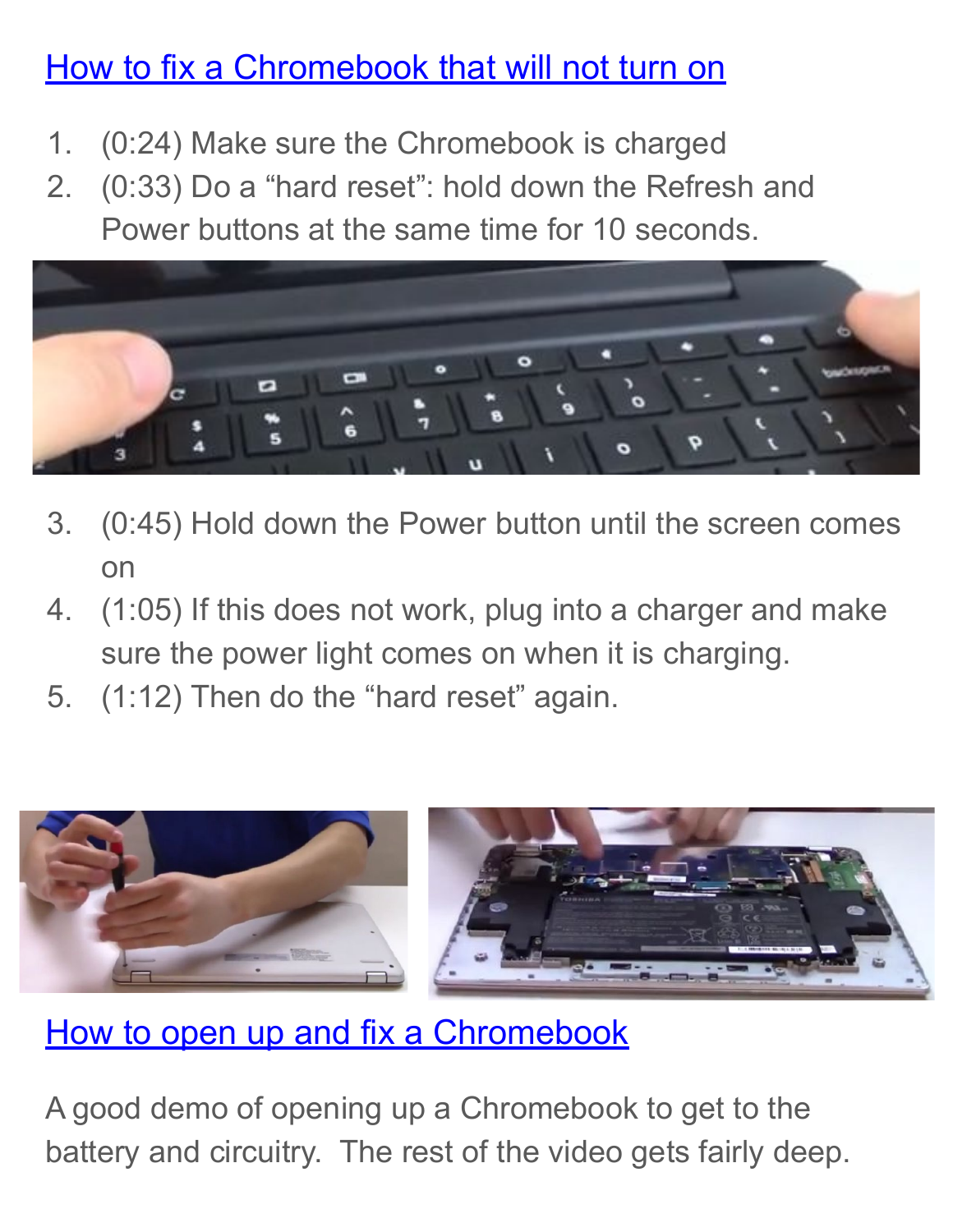#### [How to fix a Chromebook that will not turn on](https://www.youtube.com/watch?v=3BUPMYc_ylk)

- 1. (0:24) Make sure the Chromebook is charged
- 2. (0:33) Do a "hard reset": hold down the Refresh and Power buttons at the same time for 10 seconds.



- 3. (0:45) Hold down the Power button until the screen comes on
- 4. (1:05) If this does not work, plug into a charger and make sure the power light comes on when it is charging.
- 5. (1:12) Then do the "hard reset" again.



[How to open up and fix a Chromebook](https://www.youtube.com/watch?v=ZqtHEmzKHkM)

A good demo of opening up a Chromebook to get to the battery and circuitry. The rest of the video gets fairly deep.